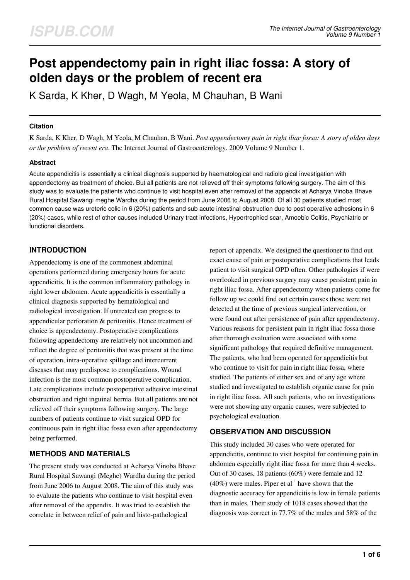# **Post appendectomy pain in right iliac fossa: A story of olden days or the problem of recent era**

K Sarda, K Kher, D Wagh, M Yeola, M Chauhan, B Wani

## **Citation**

K Sarda, K Kher, D Wagh, M Yeola, M Chauhan, B Wani. *Post appendectomy pain in right iliac fossa: A story of olden days or the problem of recent era*. The Internet Journal of Gastroenterology. 2009 Volume 9 Number 1.

# **Abstract**

Acute appendicitis is essentially a clinical diagnosis supported by haematological and radiolo gical investigation with appendectomy as treatment of choice. But all patients are not relieved off their symptoms following surgery. The aim of this study was to evaluate the patients who continue to visit hospital even after removal of the appendix at Acharya Vinoba Bhave Rural Hospital Sawangi meghe Wardha during the period from June 2006 to August 2008. Of all 30 patients studied most common cause was ureteric colic in 6 (20%) patients and sub acute intestinal obstruction due to post operative adhesions in 6 (20%) cases, while rest of other causes included Urinary tract infections, Hypertrophied scar, Amoebic Colitis, Psychiatric or functional disorders.

# **INTRODUCTION**

Appendectomy is one of the commonest abdominal operations performed during emergency hours for acute appendicitis. It is the common inflammatory pathology in right lower abdomen. Acute appendicitis is essentially a clinical diagnosis supported by hematological and radiological investigation. If untreated can progress to appendicular perforation & peritonitis. Hence treatment of choice is appendectomy. Postoperative complications following appendectomy are relatively not uncommon and reflect the degree of peritonitis that was present at the time of operation, intra-operative spillage and intercurrent diseases that may predispose to complications. Wound infection is the most common postoperative complication. Late complications include postoperative adhesive intestinal obstruction and right inguinal hernia. But all patients are not relieved off their symptoms following surgery. The large numbers of patients continue to visit surgical OPD for continuous pain in right iliac fossa even after appendectomy being performed.

# **METHODS AND MATERIALS**

The present study was conducted at Acharya Vinoba Bhave Rural Hospital Sawangi (Meghe) Wardha during the period from June 2006 to August 2008. The aim of this study was to evaluate the patients who continue to visit hospital even after removal of the appendix. It was tried to establish the correlate in between relief of pain and histo-pathological

report of appendix. We designed the questioner to find out exact cause of pain or postoperative complications that leads patient to visit surgical OPD often. Other pathologies if were overlooked in previous surgery may cause persistent pain in right iliac fossa. After appendectomy when patients come for follow up we could find out certain causes those were not detected at the time of previous surgical intervention, or were found out after persistence of pain after appendectomy. Various reasons for persistent pain in right iliac fossa those after thorough evaluation were associated with some significant pathology that required definitive management. The patients, who had been operated for appendicitis but who continue to visit for pain in right iliac fossa, where studied. The patients of either sex and of any age where studied and investigated to establish organic cause for pain in right iliac fossa. All such patients, who on investigations were not showing any organic causes, were subjected to psychological evaluation.

# **OBSERVATION AND DISCUSSION**

This study included 30 cases who were operated for appendicitis, continue to visit hospital for continuing pain in abdomen especially right iliac fossa for more than 4 weeks. Out of 30 cases, 18 patients (60%) were female and 12  $(40\%)$  were males. Piper et al  $<sup>1</sup>$  have shown that the</sup> diagnostic accuracy for appendicitis is low in female patients than in males. Their study of 1018 cases showed that the diagnosis was correct in 77.7% of the males and 58% of the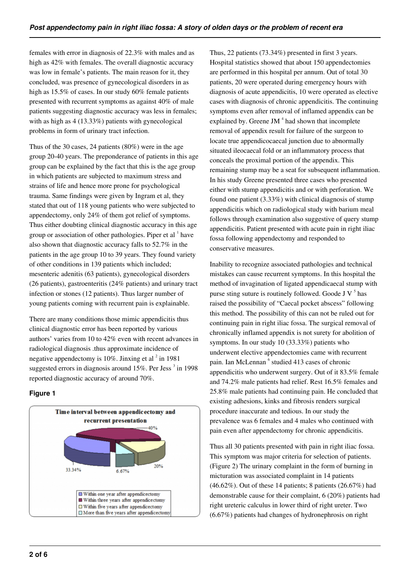females with error in diagnosis of 22.3% with males and as high as 42% with females. The overall diagnostic accuracy was low in female's patients. The main reason for it, they concluded, was presence of gynecological disorders in as high as 15.5% of cases. In our study 60% female patients presented with recurrent symptoms as against 40% of male patients suggesting diagnostic accuracy was less in females; with as high as 4 (13.33%) patients with gynecological problems in form of urinary tract infection.

Thus of the 30 cases, 24 patients (80%) were in the age group 20-40 years. The preponderance of patients in this age group can be explained by the fact that this is the age group in which patients are subjected to maximum stress and strains of life and hence more prone for psychological trauma. Same findings were given by Ingram et al, they stated that out of 118 young patients who were subjected to appendectomy, only 24% of them got relief of symptoms. Thus either doubting clinical diagnostic accuracy in this age group or association of other pathologies. Piper et al  $^1$  have also shown that diagnostic accuracy falls to 52.7% in the patients in the age group 10 to 39 years. They found variety of other conditions in 139 patients which included; mesenteric adenitis (63 patients), gynecological disorders (26 patients), gastroenteritis (24% patients) and urinary tract infection or stones (12 patients). Thus larger number of young patients coming with recurrent pain is explainable.

There are many conditions those mimic appendicitis thus clinical diagnostic error has been reported by various authors' varies from 10 to 42% even with recent advances in radiological diagnosis .thus approximate incidence of negative appendectomy is  $10\%$ . Jinxing et al  $^2$  in 1981 suggested errors in diagnosis around 15%. Per Jess<sup>3</sup> in 1998 reported diagnostic accuracy of around 70%.

# **Figure 1**



Thus, 22 patients (73.34%) presented in first 3 years. Hospital statistics showed that about 150 appendectomies are performed in this hospital per annum. Out of total 30 patients, 20 were operated during emergency hours with diagnosis of acute appendicitis, 10 were operated as elective cases with diagnosis of chronic appendicitis. The continuing symptoms even after removal of inflamed appendix can be explained by. Greene JM $<sup>4</sup>$  had shown that incomplete</sup> removal of appendix result for failure of the surgeon to locate true appendicocaecal junction due to abnormally situated ileocaecal fold or an inflammatory process that conceals the proximal portion of the appendix. This remaining stump may be a seat for subsequent inflammation. In his study Greene presented three cases who presented either with stump appendicitis and or with perforation. We found one patient (3.33%) with clinical diagnosis of stump appendicitis which on radiological study with barium meal follows through examination also suggestive of query stump appendicitis. Patient presented with acute pain in right iliac fossa following appendectomy and responded to conservative measures.

Inability to recognize associated pathologies and technical mistakes can cause recurrent symptoms. In this hospital the method of invagination of ligated appendicaecal stump with purse sting suture is routinely followed. Goode J V $<sup>5</sup>$  has</sup> raised the possibility of "Caecal pocket abscess" following this method. The possibility of this can not be ruled out for continuing pain in right iliac fossa. The surgical removal of chronically inflamed appendix is not surety for abolition of symptoms. In our study 10 (33.33%) patients who underwent elective appendectomies came with recurrent pain. Ian McLennan<sup>6</sup> studied 413 cases of chronic appendicitis who underwent surgery. Out of it 83.5% female and 74.2% male patients had relief. Rest 16.5% females and 25.8% male patients had continuing pain. He concluded that existing adhesions, kinks and fibrosis renders surgical procedure inaccurate and tedious. In our study the prevalence was 6 females and 4 males who continued with pain even after appendectomy for chronic appendicitis.

Thus all 30 patients presented with pain in right iliac fossa. This symptom was major criteria for selection of patients. (Figure 2) The urinary complaint in the form of burning in micturation was associated complaint in 14 patients (46.62%). Out of these 14 patients; 8 patients (26.67%) had demonstrable cause for their complaint, 6 (20%) patients had right ureteric calculus in lower third of right ureter. Two (6.67%) patients had changes of hydronephrosis on right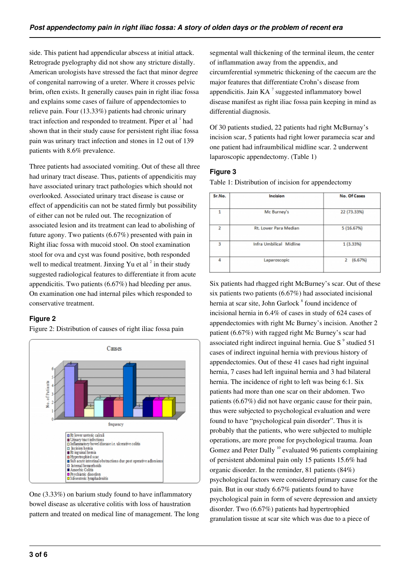side. This patient had appendicular abscess at initial attack. Retrograde pyelography did not show any stricture distally. American urologists have stressed the fact that minor degree of congenital narrowing of a ureter. Where it crosses pelvic brim, often exists. It generally causes pain in right iliac fossa and explains some cases of failure of appendectomies to relieve pain. Four (13.33%) patients had chronic urinary tract infection and responded to treatment. Piper et al <sup>1</sup> had shown that in their study cause for persistent right iliac fossa pain was urinary tract infection and stones in 12 out of 139 patients with 8.6% prevalence.

Three patients had associated vomiting. Out of these all three had urinary tract disease. Thus, patients of appendicitis may have associated urinary tract pathologies which should not overlooked. Associated urinary tract disease is cause or effect of appendicitis can not be stated firmly but possibility of either can not be ruled out. The recognization of associated lesion and its treatment can lead to abolishing of future agony. Two patients (6.67%) presented with pain in Right iliac fossa with mucoid stool. On stool examination stool for ova and cyst was found positive, both responded well to medical treatment. Jinxing Yu et al  $2$  in their study suggested radiological features to differentiate it from acute appendicitis. Two patients (6.67%) had bleeding per anus. On examination one had internal piles which responded to conservative treatment.

# **Figure 2**

Figure 2: Distribution of causes of right iliac fossa pain



One (3.33%) on barium study found to have inflammatory bowel disease as ulcerative colitis with loss of haustration pattern and treated on medical line of management. The long segmental wall thickening of the terminal ileum, the center of inflammation away from the appendix, and circumferential symmetric thickening of the caecum are the major features that differentiate Crohn's disease from appendicitis. Jain  $KA<sup>7</sup>$  suggested inflammatory bowel disease manifest as right iliac fossa pain keeping in mind as differential diagnosis.

Of 30 patients studied, 22 patients had right McBurnay's incision scar, 5 patients had right lower paramecia scar and one patient had infraumbilical midline scar. 2 underwent laparoscopic appendectomy. (Table 1)

## **Figure 3**

Table 1: Distribution of incision for appendectomy

| Sr.No.         | Incision                | No. Of Cases |
|----------------|-------------------------|--------------|
| 1              | Mc Burney's             | 22 (73.33%)  |
| $\overline{2}$ | Rt. Lower Para Median   | 5(16.67%)    |
| 3              | Infra Umbilical Midline | 1(3.33%)     |
| 4              | Laparoscopic            | 2<br>(6.67%) |

Six patients had rhagged right McBurney's scar. Out of these six patients two patients (6.67%) had associated incisional hernia at scar site, John Garlock<sup>8</sup> found incidence of incisional hernia in 6.4% of cases in study of 624 cases of appendectomies with right Mc Burney's incision. Another 2 patient (6.67%) with ragged right Mc Burney's scar had associated right indirect inguinal hernia. Gue S $<sup>9</sup>$  studied 51</sup> cases of indirect inguinal hernia with previous history of appendectomies. Out of these 41 cases had right inguinal hernia, 7 cases had left inguinal hernia and 3 had bilateral hernia. The incidence of right to left was being 6:1. Six patients had more than one scar on their abdomen. Two patients (6.67%) did not have organic cause for their pain, thus were subjected to psychological evaluation and were found to have "psychological pain disorder". Thus it is probably that the patients, who were subjected to multiple operations, are more prone for psychological trauma. Joan Gomez and Peter Dally<sup>10</sup> evaluated 96 patients complaining of persistent abdominal pain only 15 patients 15.6% had organic disorder. In the reminder, 81 patients (84%) psychological factors were considered primary cause for the pain. But in our study 6.67% patients found to have psychological pain in form of severe depression and anxiety disorder. Two (6.67%) patients had hypertrophied granulation tissue at scar site which was due to a piece of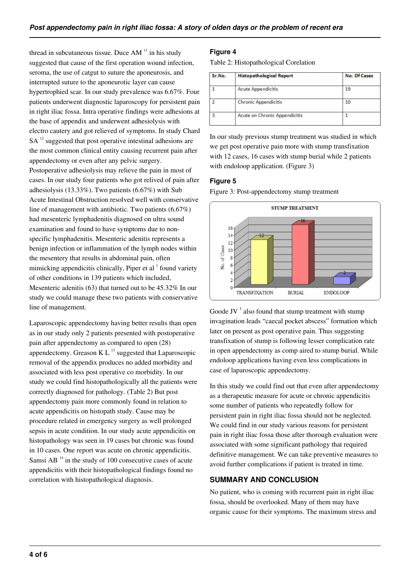thread in subcutaneous tissue. Duce  $AM<sup>11</sup>$  in his study suggested that cause of the first operation wound infection, seroma, the use of catgut to suture the aponeurosis, and interrupted suture to the aponeurotic layer can cause hypertrophied scar. In our study prevalence was 6.67%. Four patients underwent diagnostic laparoscopy for persistent pain in right iliac fossa. Intra operative findings were adhesions at the base of appendix and underwent adhesiolysis with electro cautery and got relieved of symptoms. In study Chard  $SA<sup>12</sup>$  suggested that post operative intestinal adhesions are the most common clinical entity causing recurrent pain after appendectomy or even after any pelvic surgery. Postoperative adhesiolysis may relieve the pain in most of cases. In our study four patients who got relived of pain after adhesiolysis (13.33%). Two patients (6.67%) with Sub Acute Intestinal Obstruction resolved well with conservative line of management with antibiotic. Two patients (6.67%) had mesenteric lymphadenitis diagnosed on ultra sound examination and found to have symptoms due to nonspecific lymphadenitis. Mesenteric adenitis represents a benign infection or inflammation of the lymph nodes within the mesentery that results in abdominal pain, often mimicking appendicitis clinically, Piper et al <sup>1</sup> found variety of other conditions in 139 patients which included, Mesenteric adenitis (63) that turned out to be 45.32% In our study we could manage these two patients with conservative line of management.

Laparoscopic appendectomy having better results than open as in our study only 2 patients presented with postoperative pain after appendectomy as compared to open (28) appendectomy. Greason K L $^{13}$  suggested that Laparoscopic removal of the appendix produces no added morbidity and associated with less post operative co morbidity. In our study we could find histopathologically all the patients were correctly diagnosed for pathology. (Table 2) But post appendectomy pain more commonly found in relation to acute appendicitis on histopath study. Cause may be procedure related in emergency surgery as well prolonged sepsis in acute condition. In our study acute appendicitis on histopathology was seen in 19 cases but chronic was found in 10 cases. One report was acute on chronic appendicitis. Samsi AB $<sup>14</sup>$  in the study of 100 consecutive cases of acute</sup> appendicitis with their histopathological findings found no correlation with histopathological diagnosis.

### **Figure 4**

Table 2: Histopathological Corelation

| <b>Histopathological Report</b> | <b>No. Of Cases</b> |
|---------------------------------|---------------------|
| <b>Acute Appendicitis</b>       | 19                  |
| <b>Chronic Appendicitis</b>     | 10                  |
| Acute on Chronic Appendicitis   |                     |
|                                 |                     |

In our study previous stump treatment was studied in which we get post operative pain more with stump transfixation with 12 cases, 16 cases with stump burial while 2 patients with endoloop application. (Figure 3)

#### **Figure 5**

Figure 3: Post-appendectomy stump treatment



Goode JV $<sup>5</sup>$  also found that stump treatment with stump</sup> invagination leads "caecal pocket abscess" formation which later on present as post operative pain. Thus suggesting transfixation of stump is following lesser complication rate in open appendectomy as comp aired to stump burial. While endoloop applications having even less complications in case of laparoscopic appendectomy.

In this study we could find out that even after appendectomy as a therapeutic measure for acute or chronic appendicitis some number of patients who repeatedly follow for persistent pain in right iliac fossa should not be neglected. We could find in our study various reasons for persistent pain in right iliac fossa those after thorough evaluation were associated with some significant pathology that required definitive management. We can take preventive measures to avoid further complications if patient is treated in time.

# **SUMMARY AND CONCLUSION**

No patient, who is coming with recurrent pain in right iliac fossa, should be overlooked. Many of them may have organic cause for their symptoms. The maximum stress and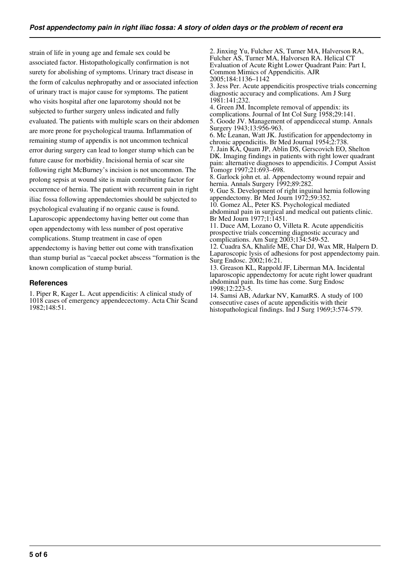strain of life in young age and female sex could be associated factor. Histopathologically confirmation is not surety for abolishing of symptoms. Urinary tract disease in the form of calculus nephropathy and or associated infection of urinary tract is major cause for symptoms. The patient who visits hospital after one laparotomy should not be subjected to further surgery unless indicated and fully evaluated. The patients with multiple scars on their abdomen are more prone for psychological trauma. Inflammation of remaining stump of appendix is not uncommon technical error during surgery can lead to longer stump which can be future cause for morbidity. Incisional hernia of scar site following right McBurney's incision is not uncommon. The prolong sepsis at wound site is main contributing factor for occurrence of hernia. The patient with recurrent pain in right iliac fossa following appendectomies should be subjected to psychological evaluating if no organic cause is found. Laparoscopic appendectomy having better out come than open appendectomy with less number of post operative complications. Stump treatment in case of open appendectomy is having better out come with transfixation than stump burial as "caecal pocket abscess "formation is the known complication of stump burial.

#### **References**

1. Piper R, Kager L. Acut appendicitis: A clinical study of 1018 cases of emergency appendecectomy. Acta Chir Scand 1982;148:51.

2. Jinxing Yu, Fulcher AS, Turner MA, Halverson RA, Fulcher AS, Turner MA, Halvorsen RA. Helical CT Evaluation of Acute Right Lower Quadrant Pain: Part I, Common Mimics of Appendicitis. AJR 2005;184:1136–1142 3. Jess Per. Acute appendicitis prospective trials concerning diagnostic accuracy and complications. Am J Surg 1981:141;232. 4. Green JM. Incomplete removal of appendix: its complications. Journal of Int Col Surg 1958;29:141. 5. Goode JV. Management of appendicecal stump. Annals Surgery 1943;13:956-963. 6. Mc Leanan, Watt JK. Justification for appendectomy in chronic appendicitis. Br Med Journal 1954;2:738. 7. Jain KA, Quam JP, Ablin DS, Gerscovich EO, Shelton DK. Imaging findings in patients with right lower quadrant pain: alternative diagnoses to appendicitis. J Comput Assist Tomogr 1997;21:693–698. 8. Garlock john et. al. Appendectomy wound repair and hernia. Annals Surgery 1992;89:282. 9. Gue S. Development of right inguinal hernia following appendectomy. Br Med Journ 1972;59:352. 10. Gomez AL, Peter KS. Psychological mediated abdominal pain in surgical and medical out patients clinic. Br Med Journ 1977;1:1451. 11. Duce AM, Lozano O, Villeta R. Acute appendicitis prospective trials concerning diagnostic accuracy and complications. Am Surg 2003;134:549-52. 12. Cuadra SA, Khalife ME, Char DJ, Wax MR, Halpern D. Laparoscopic lysis of adhesions for post appendectomy pain. Surg Endosc. 2002;16:21. 13. Greason KL, Rappold JF, Liberman MA. Incidental laparoscopic appendectomy for acute right lower quadrant abdominal pain. Its time has come. Surg Endosc 1998;12:223-5.

14. Samsi AB, Adarkar NV, KamatRS. A study of 100 consecutive cases of acute appendicitis with their histopathological findings. Ind J Surg 1969;3:574-579.